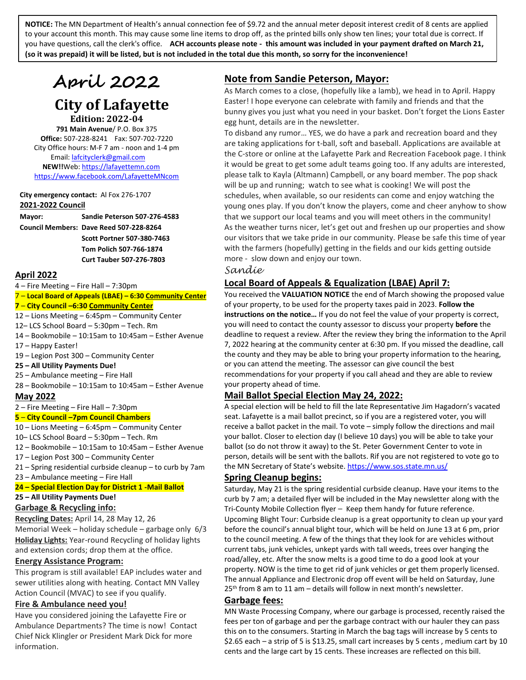**NOTICE:** The MN Department of Health's annual connection fee of \$9.72 and the annual meter deposit interest credit of 8 cents are applied to your account this month. This may cause some line items to drop off, as the printed bills only show ten lines; your total due is correct. If you have questions, call the clerk's office. **ACH accounts please note - this amount was included in your payment drafted on March 21, (so it was prepaid) it will be listed, but is not included in the total due this month, so sorry for the inconvenience!**

# **April 2022**

## **City of Lafayette Edition: 2022-04**

**791 Main Avenue**/ P.O. Box 375

**Office:** 507-228-8241 Fax: 507-702-7220 City Office hours: M-F 7 am - noon and 1-4 pm Email[: lafcityclerk@gmail.com](mailto:lafcityclerk@gmail.com)  **NEW!!**Web[: https://lafayettemn.com](https://lafayettemn.com/) <https://www.facebook.com/LafayetteMNcom>

**City emergency contact:** Al Fox 276-1707 **2021-2022 Council**

**Mayor: Sandie Peterson 507-276-4583 Council Members: Dave Reed 507-228-8264**

**Scott Portner 507-380-7463 Tom Polich 507-766-1874 Curt Tauber 507-276-7803**

## **April 2022**

4 – Fire Meeting – Fire Hall – 7:30pm

# 7 – **Local Board of Appeals (LBAE) – 6:30 Community Center**

## **7** – **City Council –6:30 Community Center**

12 – Lions Meeting – 6:45pm – Community Center

12– LCS School Board – 5:30pm – Tech. Rm 14 – Bookmobile – 10:15am to 10:45am – Esther Avenue

- 17 Happy Easter!
- 19 Legion Post 300 Community Center

#### **25 – All Utility Payments Due!**

25 – Ambulance meeting – Fire Hall

28 – Bookmobile – 10:15am to 10:45am – Esther Avenue

#### **May 2022**

#### 2 – Fire Meeting – Fire Hall – 7:30pm

#### **5** – **City Council –7pm Council Chambers**

10 – Lions Meeting – 6:45pm – Community Center

10– LCS School Board – 5:30pm – Tech. Rm

12 – Bookmobile – 10:15am to 10:45am – Esther Avenue

17 – Legion Post 300 – Community Center

- 21 Spring residential curbside cleanup to curb by 7am
- 23 Ambulance meeting Fire Hall

#### **24 – Special Election Day for District 1 -Mail Ballot**

#### **25 – All Utility Payments Due!**

#### **Garbage & Recycling info:**

**Recycling Dates:** April 14, 28 May 12, 26 Memorial Week – holiday schedule – garbage only 6/3 **Holiday Lights:** Year-round Recycling of holiday lights and extension cords; drop them at the office.

#### **Energy Assistance Program:**

This program is still available! EAP includes water and sewer utilities along with heating. Contact MN Valley Action Council (MVAC) to see if you qualify.

## **Fire & Ambulance need you!**

Have you considered joining the Lafayette Fire or Ambulance Departments? The time is now! Contact Chief Nick Klingler or President Mark Dick for more information.

## **Note from Sandie Peterson, Mayor:**

As March comes to a close, (hopefully like a lamb), we head in to April. Happy Easter! I hope everyone can celebrate with family and friends and that the bunny gives you just what you need in your basket. Don't forget the Lions Easter egg hunt, details are in the newsletter.

To disband any rumor… YES, we do have a park and recreation board and they are taking applications for t-ball, soft and baseball. Applications are available at the C-store or online at the Lafayette Park and Recreation Facebook page. I think it would be great to get some adult teams going too. If any adults are interested, please talk to Kayla (Altmann) Campbell, or any board member. The pop shack will be up and running; watch to see what is cooking! We will post the schedules, when available, so our residents can come and enjoy watching the young ones play. If you don't know the players, come and cheer anyhow to show that we support our local teams and you will meet others in the community! As the weather turns nicer, let's get out and freshen up our properties and show our visitors that we take pride in our community. Please be safe this time of year with the farmers (hopefully) getting in the fields and our kids getting outside more - slow down and enjoy our town.

*Sandie*

## **Local Board of Appeals & Equalization (LBAE) April 7:**

You received the **VALUATION NOTICE** the end of March showing the proposed value of your property, to be used for the property taxes paid in 2023. **Follow the instructions on the notice…** If you do not feel the value of your property is correct, you will need to contact the county assessor to discuss your property **before** the deadline to request a review. After the review they bring the information to the April 7, 2022 hearing at the community center at 6:30 pm. If you missed the deadline, call the county and they may be able to bring your property information to the hearing, or you can attend the meeting. The assessor can give council the best recommendations for your property if you call ahead and they are able to review your property ahead of time.

## **Mail Ballot Special Election May 24, 2022:**

A special election will be held to fill the late Representative Jim Hagadorn's vacated seat. Lafayette is a mail ballot precinct, so if you are a registered voter, you will receive a ballot packet in the mail. To vote – simply follow the directions and mail your ballot. Closer to election day (I believe 10 days) you will be able to take your ballot (so do not throw it away) to the St. Peter Government Center to vote in person, details will be sent with the ballots. Rif you are not registered to vote go to the MN Secretary of State's website[. https://www.sos.state.mn.us/](https://www.sos.state.mn.us/)

## **Spring Cleanup begins:**

Saturday, May 21 is the spring residential curbside cleanup. Have your items to the curb by 7 am; a detailed flyer will be included in the May newsletter along with the Tri-County Mobile Collection flyer – Keep them handy for future reference. Upcoming Blight Tour: Curbside cleanup is a great opportunity to clean up your yard before the council's annual blight tour, which will be held on June 13 at 6 pm, prior to the council meeting. A few of the things that they look for are vehicles without current tabs, junk vehicles, unkept yards with tall weeds, trees over hanging the road/alley, etc. After the snow melts is a good time to do a good look at your property. NOW is the time to get rid of junk vehicles or get them properly licensed. The annual Appliance and Electronic drop off event will be held on Saturday, June 25<sup>th</sup> from 8 am to 11 am - details will follow in next month's newsletter.

## **Garbage fees:**

MN Waste Processing Company, where our garbage is processed, recently raised the fees per ton of garbage and per the garbage contract with our hauler they can pass this on to the consumers. Starting in March the bag tags will increase by 5 cents to \$2.65 each – a strip of 5 is \$13.25, small cart increases by 5 cents , medium cart by 10 cents and the large cart by 15 cents. These increases are reflected on this bill.